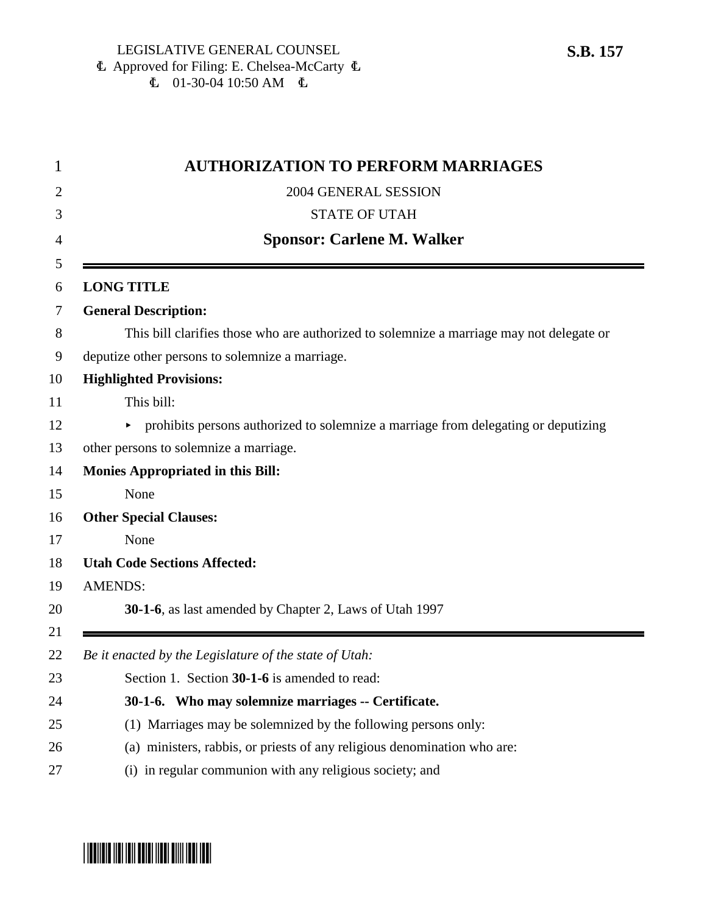| 1        | <b>AUTHORIZATION TO PERFORM MARRIAGES</b>                                                |
|----------|------------------------------------------------------------------------------------------|
| 2        | 2004 GENERAL SESSION                                                                     |
| 3        | <b>STATE OF UTAH</b>                                                                     |
| 4        | <b>Sponsor: Carlene M. Walker</b>                                                        |
| 5<br>6   | <b>LONG TITLE</b>                                                                        |
| 7        | <b>General Description:</b>                                                              |
| 8        | This bill clarifies those who are authorized to solemnize a marriage may not delegate or |
| 9        | deputize other persons to solemnize a marriage.                                          |
| 10       | <b>Highlighted Provisions:</b>                                                           |
| 11       | This bill:                                                                               |
| 12       | prohibits persons authorized to solemnize a marriage from delegating or deputizing       |
| 13       | other persons to solemnize a marriage.                                                   |
| 14       | <b>Monies Appropriated in this Bill:</b>                                                 |
| 15       | None                                                                                     |
| 16       | <b>Other Special Clauses:</b>                                                            |
| 17       | None                                                                                     |
| 18       | <b>Utah Code Sections Affected:</b>                                                      |
| 19       | <b>AMENDS:</b>                                                                           |
| 20       | 30-1-6, as last amended by Chapter 2, Laws of Utah 1997                                  |
| 21<br>22 | Be it enacted by the Legislature of the state of Utah:                                   |
| 23       | Section 1. Section 30-1-6 is amended to read:                                            |
| 24       | 30-1-6. Who may solemnize marriages -- Certificate.                                      |
| 25       | (1) Marriages may be solemnized by the following persons only:                           |
| 26       | (a) ministers, rabbis, or priests of any religious denomination who are:                 |
| 27       | (i) in regular communion with any religious society; and                                 |

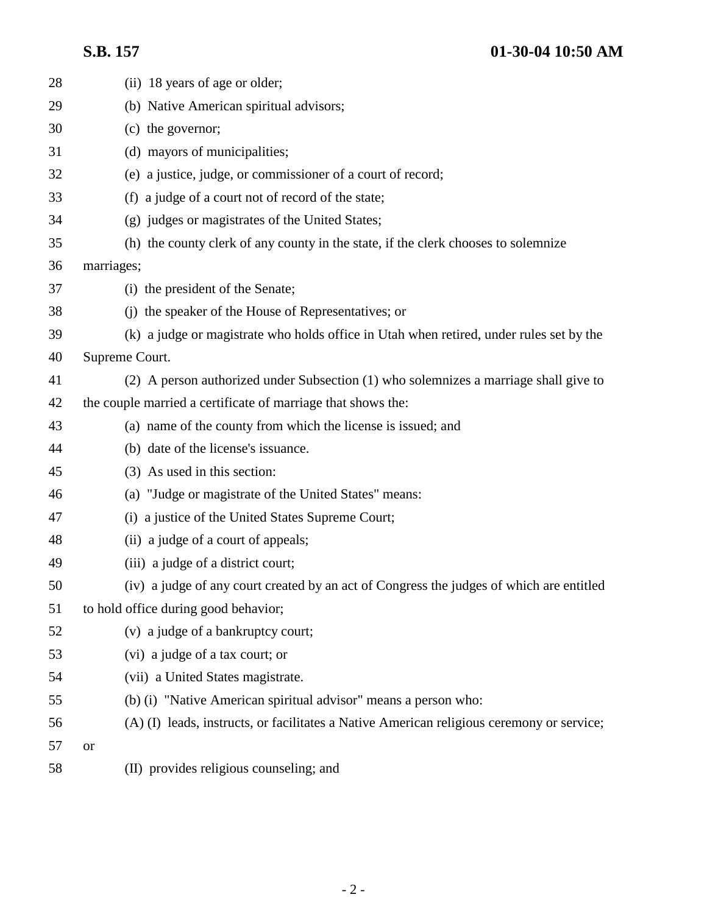**S.B. 157 01-30-04 10:50 AM**

| 28 | (ii) 18 years of age or older;                                                            |
|----|-------------------------------------------------------------------------------------------|
| 29 | (b) Native American spiritual advisors;                                                   |
| 30 | (c) the governor;                                                                         |
| 31 | (d) mayors of municipalities;                                                             |
| 32 | (e) a justice, judge, or commissioner of a court of record;                               |
| 33 | (f) a judge of a court not of record of the state;                                        |
| 34 | (g) judges or magistrates of the United States;                                           |
| 35 | (h) the county clerk of any county in the state, if the clerk chooses to solemnize        |
| 36 | marriages;                                                                                |
| 37 | (i) the president of the Senate;                                                          |
| 38 | (j) the speaker of the House of Representatives; or                                       |
| 39 | (k) a judge or magistrate who holds office in Utah when retired, under rules set by the   |
| 40 | Supreme Court.                                                                            |
| 41 | (2) A person authorized under Subsection (1) who solemnizes a marriage shall give to      |
| 42 | the couple married a certificate of marriage that shows the:                              |
| 43 | (a) name of the county from which the license is issued; and                              |
| 44 | (b) date of the license's issuance.                                                       |
| 45 | (3) As used in this section:                                                              |
| 46 | (a) "Judge or magistrate of the United States" means:                                     |
| 47 | (i) a justice of the United States Supreme Court;                                         |
| 48 | (ii) a judge of a court of appeals;                                                       |
| 49 | (iii) a judge of a district court;                                                        |
| 50 | (iv) a judge of any court created by an act of Congress the judges of which are entitled  |
| 51 | to hold office during good behavior;                                                      |
| 52 | (v) a judge of a bankruptcy court;                                                        |
| 53 | (vi) a judge of a tax court; or                                                           |
| 54 | (vii) a United States magistrate.                                                         |
| 55 | (b) (i) "Native American spiritual advisor" means a person who:                           |
| 56 | (A) (I) leads, instructs, or facilitates a Native American religious ceremony or service; |
| 57 | <b>or</b>                                                                                 |
| 58 | (II) provides religious counseling; and                                                   |
|    |                                                                                           |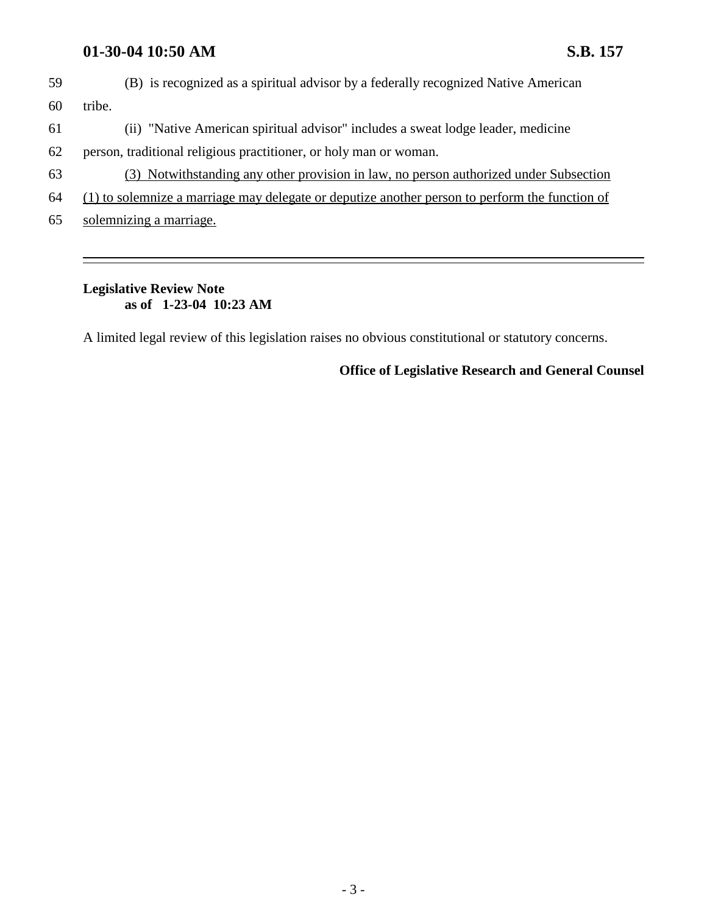## **01-30-04 10:50 AM S.B. 157**

59 (B) is recognized as a spiritual advisor by a federally recognized Native American 60 tribe.

- 61 (ii) "Native American spiritual advisor" includes a sweat lodge leader, medicine
- 62 person, traditional religious practitioner, or holy man or woman.
- 63 (3) Notwithstanding any other provision in law, no person authorized under Subsection
- 64 (1) to solemnize a marriage may delegate or deputize another person to perform the function of
- 65 solemnizing a marriage.

# **Legislative Review Note as of 1-23-04 10:23 AM**

A limited legal review of this legislation raises no obvious constitutional or statutory concerns.

#### **Office of Legislative Research and General Counsel**